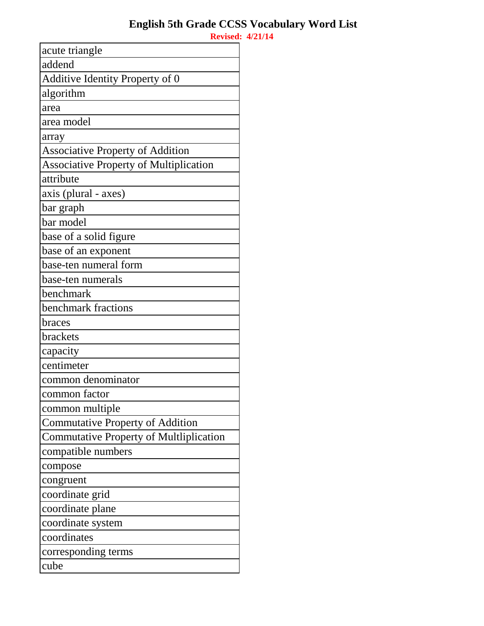| acute triangle                                 |
|------------------------------------------------|
| addend                                         |
| Additive Identity Property of 0                |
| algorithm                                      |
| area                                           |
| area model                                     |
| array                                          |
| <b>Associative Property of Addition</b>        |
| <b>Associative Property of Multiplication</b>  |
| attribute                                      |
| axis (plural - axes)                           |
| bar graph                                      |
| bar model                                      |
| base of a solid figure                         |
| base of an exponent                            |
| base-ten numeral form                          |
| base-ten numerals                              |
| benchmark                                      |
| benchmark fractions                            |
| braces                                         |
| brackets                                       |
| capacity                                       |
| centimeter                                     |
| common denominator                             |
| common factor                                  |
| common multiple                                |
| <b>Commutative Property of Addition</b>        |
| <b>Commutative Property of Multliplication</b> |
| compatible numbers                             |
| compose                                        |
| congruent                                      |
| coordinate grid                                |
| coordinate plane                               |
| coordinate system                              |
| coordinates                                    |
| corresponding terms                            |
| cube                                           |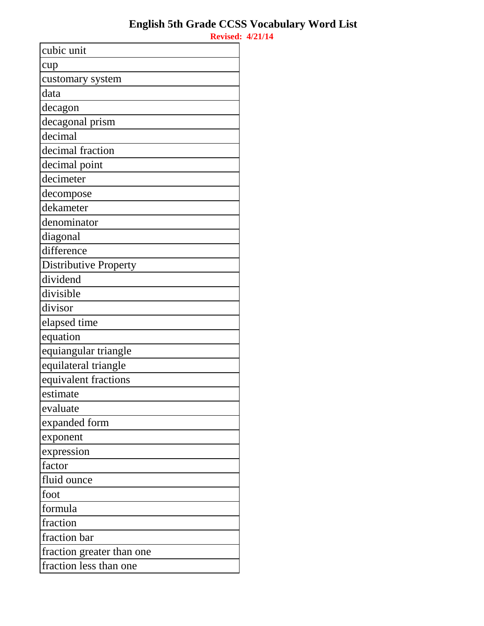| cubic unit                |
|---------------------------|
| cup                       |
| customary system          |
| data                      |
| decagon                   |
| decagonal prism           |
| decimal                   |
| decimal fraction          |
| decimal point             |
| decimeter                 |
| decompose                 |
| dekameter                 |
| denominator               |
| diagonal                  |
| difference                |
| Distributive Property     |
| dividend                  |
| divisible                 |
| divisor                   |
| elapsed time              |
| equation                  |
| equiangular triangle      |
| equilateral triangle      |
| equivalent fractions      |
| estimate                  |
| evaluate                  |
| expanded form             |
| exponent                  |
| expression                |
| factor                    |
| fluid ounce               |
| foot                      |
| formula                   |
| fraction                  |
| fraction bar              |
| fraction greater than one |
| fraction less than one    |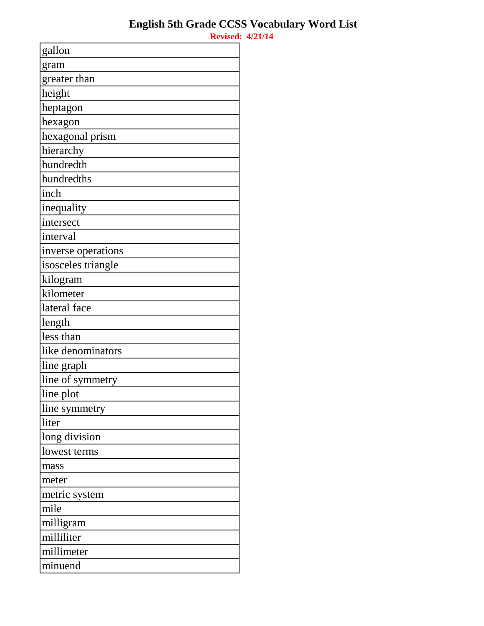| gallon             |
|--------------------|
| gram               |
| greater than       |
| height             |
| heptagon           |
| hexagon            |
| hexagonal prism    |
| hierarchy          |
| hundredth          |
| hundredths         |
| inch               |
| inequality         |
| intersect          |
| interval           |
| inverse operations |
| isosceles triangle |
| kilogram           |
| kilometer          |
| lateral face       |
| length             |
| less than          |
| like denominators  |
| line graph         |
| line of symmetry   |
| line plot          |
| line symmetry      |
| liter              |
| long division      |
| lowest terms       |
| mass               |
| meter              |
| metric system      |
| mile               |
| milligram          |
| milliliter         |
| millimeter         |
| minuend            |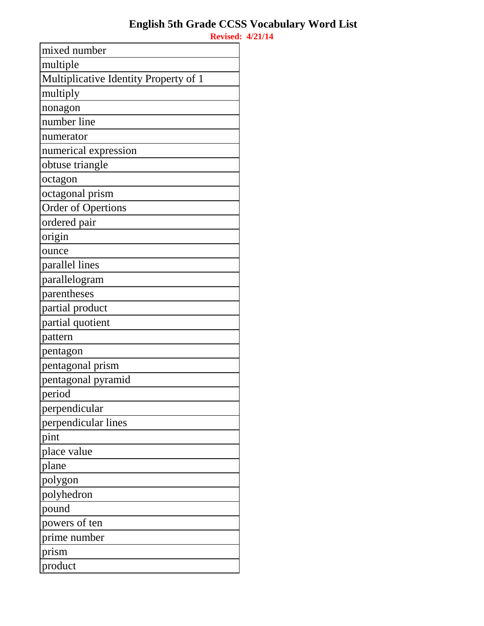| mixed number                          |
|---------------------------------------|
| multiple                              |
| Multiplicative Identity Property of 1 |
| multiply                              |
| nonagon                               |
| number line                           |
| numerator                             |
| numerical expression                  |
| obtuse triangle                       |
| octagon                               |
| octagonal prism                       |
| <b>Order of Opertions</b>             |
| ordered pair                          |
| origin                                |
| ounce                                 |
| parallel lines                        |
| parallelogram                         |
| parentheses                           |
| partial product                       |
| partial quotient                      |
| pattern                               |
| pentagon                              |
| pentagonal prism                      |
| pentagonal pyramid                    |
| period                                |
| perpendicular                         |
| perpendicular lines                   |
| pint                                  |
| place value                           |
| plane                                 |
| polygon                               |
| polyhedron                            |
| pound                                 |
| powers of ten                         |
| prime number                          |
| prism                                 |
| product                               |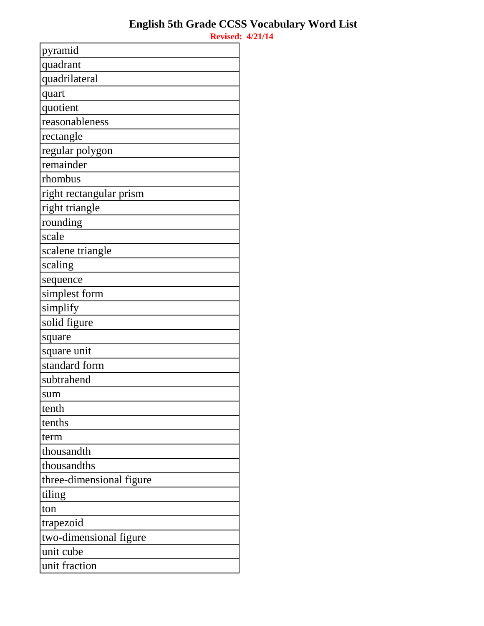| pyramid                  |
|--------------------------|
| quadrant                 |
| quadrilateral            |
| quart                    |
| quotient                 |
| reasonableness           |
| rectangle                |
| regular polygon          |
| remainder                |
| rhombus                  |
| right rectangular prism  |
| right triangle           |
| rounding                 |
| scale                    |
| scalene triangle         |
| scaling                  |
| sequence                 |
| simplest form            |
| simplify                 |
| solid figure             |
| square                   |
| square unit              |
| standard form            |
| subtrahend               |
| sum                      |
| tenth                    |
| tenths                   |
| term                     |
| thousandth               |
| thousandths              |
| three-dimensional figure |
| tiling                   |
| ton                      |
| trapezoid                |
| two-dimensional figure   |
| unit cube                |
| unit fraction            |